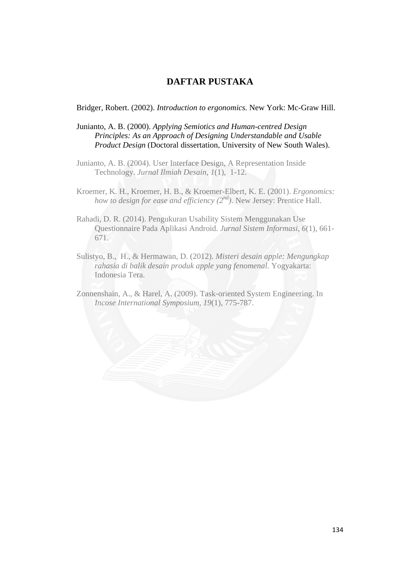## **DAFTAR PUSTAKA**

## Bridger, Robert. (2002). *Introduction to ergonomics.* New York: Mc-Graw Hill.

Junianto, A. B. (2000). *Applying Semiotics and Human-centred Design Principles: As an Approach of Designing Understandable and Usable Product Design* (Doctoral dissertation, University of New South Wales).

- Junianto, A. B. (2004). User Interface Design, A Representation Inside Technology. *Jurnal Ilmiah Desain, 1*(1), 1-12.
- Kroemer, K. H., Kroemer, H. B., & Kroemer-Elbert, K. E. (2001). *Ergonomics: how to design for ease and efficiency (2nd)*. New Jersey: Prentice Hall.
- Rahadi, D. R. (2014). Pengukuran Usability Sistem Menggunakan Use Questionnaire Pada Aplikasi Android. *Jurnal Sistem Informasi*, *6*(1), 661- 671.
- Sulistyo, B., H., & Hermawan, D. (2012). *Misteri desain apple: Mengungkap rahasia di balik desain produk apple yang fenomenal.* Yogyakarta: Indonesia Tera.
- Zonnenshain, A., & Harel, A. (2009). Task-oriented System Engineering. In *Incose International Symposium*, *19*(1), 775-787.